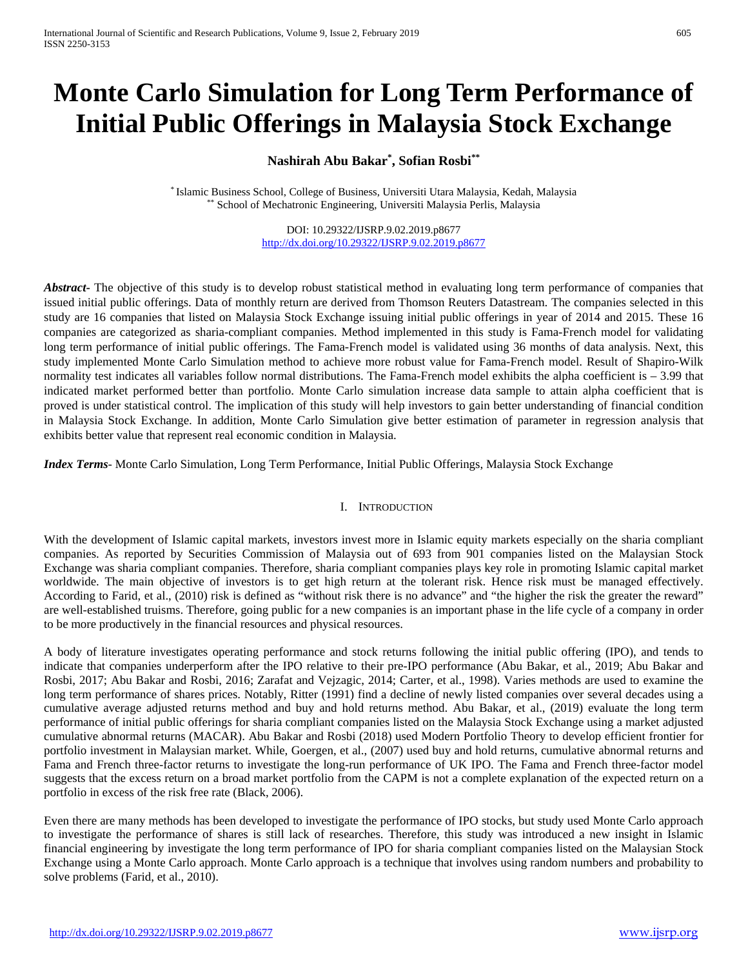# **Monte Carlo Simulation for Long Term Performance of Initial Public Offerings in Malaysia Stock Exchange**

## **Nashirah Abu Bakar\* , Sofian Rosbi\*\***

\* Islamic Business School, College of Business, Universiti Utara Malaysia, Kedah, Malaysia \*\* School of Mechatronic Engineering, Universiti Malaysia Perlis, Malaysia

> DOI: 10.29322/IJSRP.9.02.2019.p8677 <http://dx.doi.org/10.29322/IJSRP.9.02.2019.p8677>

*Abstract***-** The objective of this study is to develop robust statistical method in evaluating long term performance of companies that issued initial public offerings. Data of monthly return are derived from Thomson Reuters Datastream. The companies selected in this study are 16 companies that listed on Malaysia Stock Exchange issuing initial public offerings in year of 2014 and 2015. These 16 companies are categorized as sharia-compliant companies. Method implemented in this study is Fama-French model for validating long term performance of initial public offerings. The Fama-French model is validated using 36 months of data analysis. Next, this study implemented Monte Carlo Simulation method to achieve more robust value for Fama-French model. Result of Shapiro-Wilk normality test indicates all variables follow normal distributions. The Fama-French model exhibits the alpha coefficient is – 3.99 that indicated market performed better than portfolio. Monte Carlo simulation increase data sample to attain alpha coefficient that is proved is under statistical control. The implication of this study will help investors to gain better understanding of financial condition in Malaysia Stock Exchange. In addition, Monte Carlo Simulation give better estimation of parameter in regression analysis that exhibits better value that represent real economic condition in Malaysia.

*Index Terms*- Monte Carlo Simulation, Long Term Performance, Initial Public Offerings, Malaysia Stock Exchange

#### I. INTRODUCTION

With the development of Islamic capital markets, investors invest more in Islamic equity markets especially on the sharia compliant companies. As reported by Securities Commission of Malaysia out of 693 from 901 companies listed on the Malaysian Stock Exchange was sharia compliant companies. Therefore, sharia compliant companies plays key role in promoting Islamic capital market worldwide. The main objective of investors is to get high return at the tolerant risk. Hence risk must be managed effectively. According to Farid, et al., (2010) risk is defined as "without risk there is no advance" and "the higher the risk the greater the reward" are well-established truisms. Therefore, going public for a new companies is an important phase in the life cycle of a company in order to be more productively in the financial resources and physical resources.

A body of literature investigates operating performance and stock returns following the initial public offering (IPO), and tends to indicate that companies underperform after the IPO relative to their pre-IPO performance (Abu Bakar, et al., 2019; Abu Bakar and Rosbi, 2017; Abu Bakar and Rosbi, 2016; Zarafat and Vejzagic, 2014; Carter, et al., 1998). Varies methods are used to examine the long term performance of shares prices. Notably, Ritter (1991) find a decline of newly listed companies over several decades using a cumulative average adjusted returns method and buy and hold returns method. Abu Bakar, et al., (2019) evaluate the long term performance of initial public offerings for sharia compliant companies listed on the Malaysia Stock Exchange using a market adjusted cumulative abnormal returns (MACAR). Abu Bakar and Rosbi (2018) used Modern Portfolio Theory to develop efficient frontier for portfolio investment in Malaysian market. While, Goergen, et al., (2007) used buy and hold returns, cumulative abnormal returns and Fama and French three-factor returns to investigate the long-run performance of UK IPO. The Fama and French three-factor model suggests that the excess return on a broad market portfolio from the CAPM is not a complete explanation of the expected return on a portfolio in excess of the risk free rate (Black, 2006).

Even there are many methods has been developed to investigate the performance of IPO stocks, but study used Monte Carlo approach to investigate the performance of shares is still lack of researches. Therefore, this study was introduced a new insight in Islamic financial engineering by investigate the long term performance of IPO for sharia compliant companies listed on the Malaysian Stock Exchange using a Monte Carlo approach. Monte Carlo approach is a technique that involves using random numbers and probability to solve problems (Farid, et al., 2010).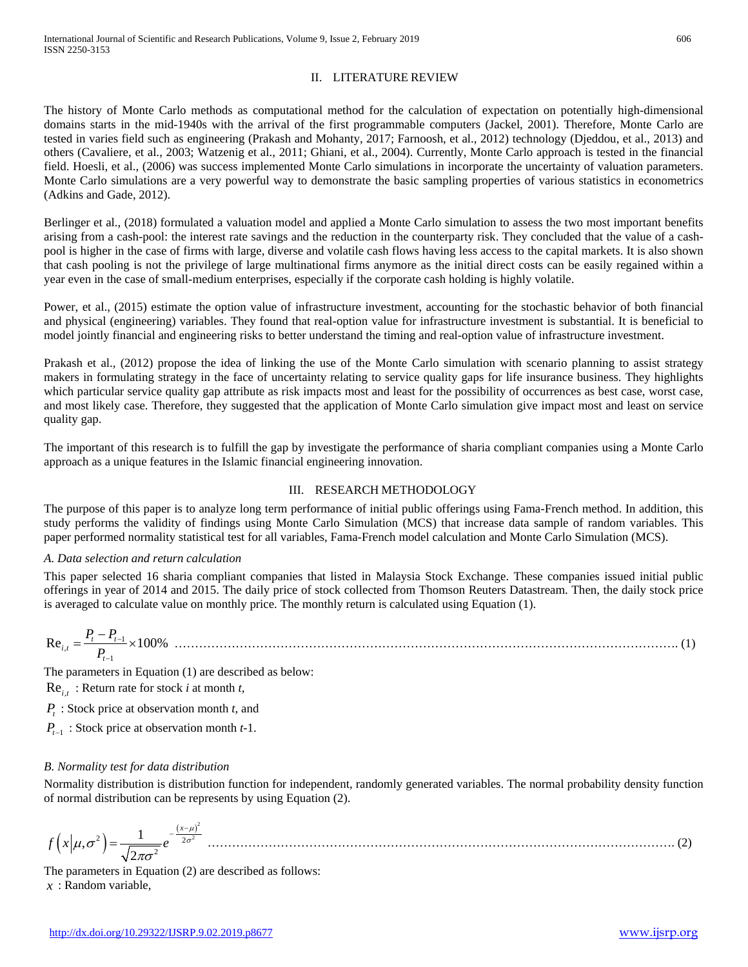## II. LITERATURE REVIEW

The history of Monte Carlo methods as computational method for the calculation of expectation on potentially high-dimensional domains starts in the mid-1940s with the arrival of the first programmable computers (Jackel, 2001). Therefore, Monte Carlo are tested in varies field such as engineering (Prakash and Mohanty, 2017; Farnoosh, et al., 2012) technology (Djeddou, et al., 2013) and others (Cavaliere, et al., 2003; Watzenig et al., 2011; Ghiani, et al., 2004). Currently, Monte Carlo approach is tested in the financial field. Hoesli, et al., (2006) was success implemented Monte Carlo simulations in incorporate the uncertainty of valuation parameters. Monte Carlo simulations are a very powerful way to demonstrate the basic sampling properties of various statistics in econometrics (Adkins and Gade, 2012).

Berlinger et al., (2018) formulated a valuation model and applied a Monte Carlo simulation to assess the two most important benefits arising from a cash-pool: the interest rate savings and the reduction in the counterparty risk. They concluded that the value of a cashpool is higher in the case of firms with large, diverse and volatile cash flows having less access to the capital markets. It is also shown that cash pooling is not the privilege of large multinational firms anymore as the initial direct costs can be easily regained within a year even in the case of small-medium enterprises, especially if the corporate cash holding is highly volatile.

Power, et al., (2015) estimate the option value of infrastructure investment, accounting for the stochastic behavior of both financial and physical (engineering) variables. They found that real-option value for infrastructure investment is substantial. It is beneficial to model jointly financial and engineering risks to better understand the timing and real-option value of infrastructure investment.

Prakash et al., (2012) propose the idea of linking the use of the Monte Carlo simulation with scenario planning to assist strategy makers in formulating strategy in the face of uncertainty relating to service quality gaps for life insurance business. They highlights which particular service quality gap attribute as risk impacts most and least for the possibility of occurrences as best case, worst case, and most likely case. Therefore, they suggested that the application of Monte Carlo simulation give impact most and least on service quality gap.

The important of this research is to fulfill the gap by investigate the performance of sharia compliant companies using a Monte Carlo approach as a unique features in the Islamic financial engineering innovation.

#### III. RESEARCH METHODOLOGY

The purpose of this paper is to analyze long term performance of initial public offerings using Fama-French method. In addition, this study performs the validity of findings using Monte Carlo Simulation (MCS) that increase data sample of random variables. This paper performed normality statistical test for all variables, Fama-French model calculation and Monte Carlo Simulation (MCS).

#### *A. Data selection and return calculation*

This paper selected 16 sharia compliant companies that listed in Malaysia Stock Exchange. These companies issued initial public offerings in year of 2014 and 2015. The daily price of stock collected from Thomson Reuters Datastream. Then, the daily stock price is averaged to calculate value on monthly price. The monthly return is calculated using Equation (1).

$$
\text{Re}_{i,t} = \frac{P_t - P_{t-1}}{P_{t-1}} \times 100\% \quad \dots \tag{1}
$$

The parameters in Equation (1) are described as below:

 $\text{Re}_{i,t}$ : Return rate for stock *i* at month *t*,

*P<sub>t</sub>* : Stock price at observation month *t*, and

*P<sub>t−1</sub>* : Stock price at observation month *t*-1.

## *B. Normality test for data distribution*

Normality distribution is distribution function for independent, randomly generated variables. The normal probability density function of normal distribution can be represents by using Equation (2).

 $(x|\mu,\sigma^2) = \frac{1}{\sqrt{1-x^2}}e^{-\frac{(x-\mu)^2}{2\sigma^2}}$  $2 = \frac{1}{\sqrt{2}} e^{-2\sigma^2}$  $(\sigma^2) = \frac{1}{\sqrt{2\pi\sigma^2}}e^{-\frac{(x-\mu)^2}{2}}$  $f(x|\mu,\sigma^2) = \frac{1}{\sqrt{2\pi}}e^{-\frac{1}{x}}$  $\mu$  $(\mu, \sigma^*) = \frac{\mu}{\sigma^2} e^{-2\sigma}$ πσ  $-\frac{(x = \frac{1}{\sqrt{2\pi}} e^{-2\sigma^2}$ 

The parameters in Equation (2) are described as follows: *x* : Random variable,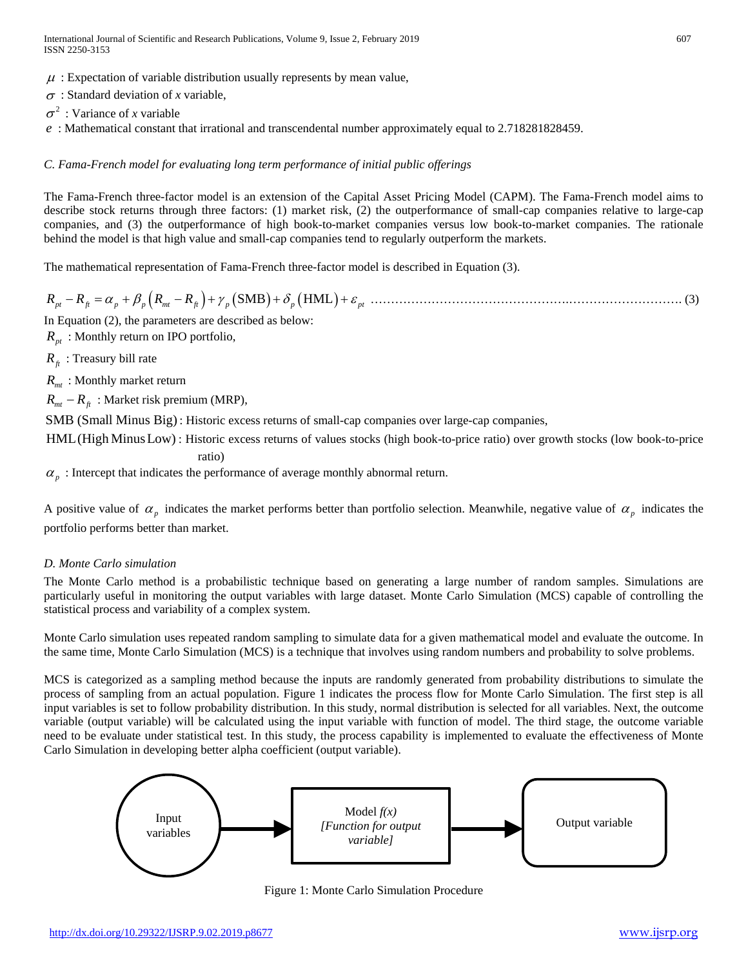- $\mu$ : Expectation of variable distribution usually represents by mean value,
- <sup>σ</sup> : Standard deviation of *x* variable,
- $\sigma^2$ : Variance of *x* variable
- *e* : Mathematical constant that irrational and transcendental number approximately equal to 2.718281828459.

## *C. Fama-French model for evaluating long term performance of initial public offerings*

The Fama-French three-factor model is an extension of the Capital Asset Pricing Model (CAPM). The Fama-French model aims to describe stock returns through three factors: (1) market risk, (2) the outperformance of small-cap companies relative to large-cap companies, and (3) the outperformance of high book-to-market companies versus low book-to-market companies. The rationale behind the model is that high value and small-cap companies tend to regularly outperform the markets.

The mathematical representation of Fama-French three-factor model is described in Equation (3).

*RR RR pt ft p p mt ft p* −=+ − + + + αβ <sup>γ</sup> <sup>δ</sup> <sup>ε</sup> ( ) (SMB HML ) *<sup>p</sup>* ( ) *pt* ………………………………………….………………………. (3)

In Equation (2), the parameters are described as below:

 $R_{nt}$ : Monthly return on IPO portfolio,

 $R<sub>f</sub>$  : Treasury bill rate

*R<sub>mt</sub>* : Monthly market return

 $R_{mt} - R_{ft}$ : Market risk premium (MRP),

SMB (Small Minus Big): Historic excess returns of small-cap companies over large-cap companies,

HML(High Minus Low) : Historic excess returns of values stocks (high book-to-price ratio) over growth stocks (low book-to-price ratio)

 $\alpha$ <sub>p</sub> : Intercept that indicates the performance of average monthly abnormal return.

A positive value of  $\alpha_p$  indicates the market performs better than portfolio selection. Meanwhile, negative value of  $\alpha_p$  indicates the portfolio performs better than market.

## *D. Monte Carlo simulation*

The Monte Carlo method is a probabilistic technique based on generating a large number of random samples. Simulations are particularly useful in monitoring the output variables with large dataset. Monte Carlo Simulation (MCS) capable of controlling the statistical process and variability of a complex system.

Monte Carlo simulation uses repeated random sampling to simulate data for a given mathematical model and evaluate the outcome. In the same time, Monte Carlo Simulation (MCS) is a technique that involves using random numbers and probability to solve problems.

MCS is categorized as a sampling method because the inputs are randomly generated from probability distributions to simulate the process of sampling from an actual population. Figure 1 indicates the process flow for Monte Carlo Simulation. The first step is all input variables is set to follow probability distribution. In this study, normal distribution is selected for all variables. Next, the outcome variable (output variable) will be calculated using the input variable with function of model. The third stage, the outcome variable need to be evaluate under statistical test. In this study, the process capability is implemented to evaluate the effectiveness of Monte Carlo Simulation in developing better alpha coefficient (output variable).



Figure 1: Monte Carlo Simulation Procedure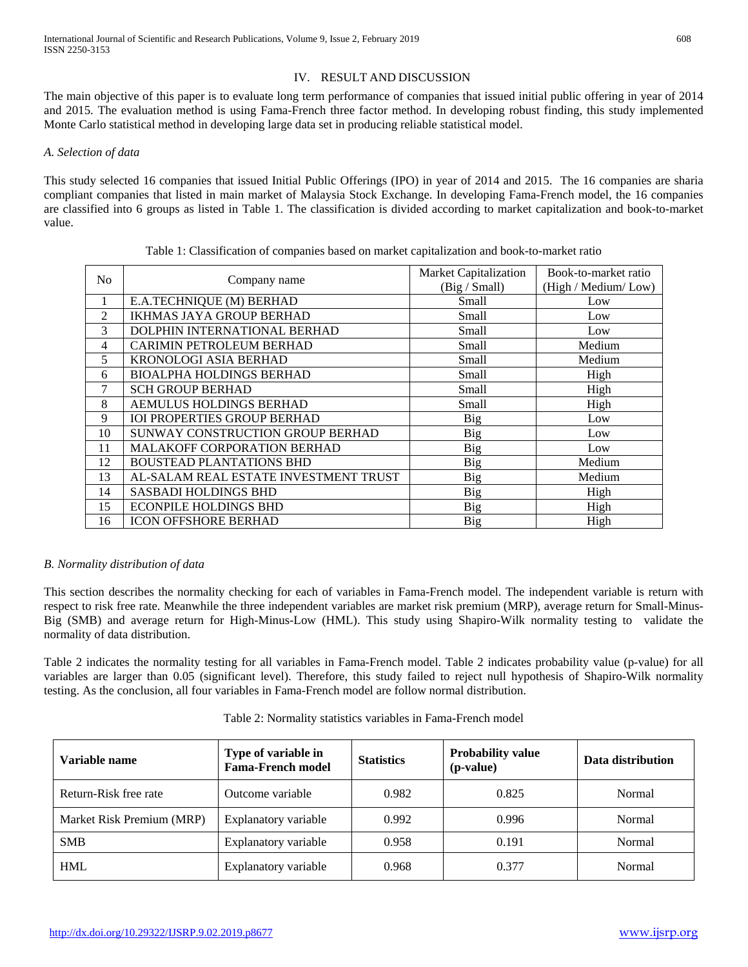## IV. RESULT AND DISCUSSION

The main objective of this paper is to evaluate long term performance of companies that issued initial public offering in year of 2014 and 2015. The evaluation method is using Fama-French three factor method. In developing robust finding, this study implemented Monte Carlo statistical method in developing large data set in producing reliable statistical model.

#### *A. Selection of data*

This study selected 16 companies that issued Initial Public Offerings (IPO) in year of 2014 and 2015. The 16 companies are sharia compliant companies that listed in main market of Malaysia Stock Exchange. In developing Fama-French model, the 16 companies are classified into 6 groups as listed in Table 1. The classification is divided according to market capitalization and book-to-market value.

|    | No.<br>Company name                   | Market Capitalization | Book-to-market ratio |
|----|---------------------------------------|-----------------------|----------------------|
|    |                                       | (Big / Small)         | (High / Medium/Low)  |
| 1  | E.A.TECHNIQUE (M) BERHAD              | Small                 | Low                  |
| 2  | <b>IKHMAS JAYA GROUP BERHAD</b>       | Small                 | Low                  |
| 3  | DOLPHIN INTERNATIONAL BERHAD          | Small                 | Low                  |
| 4  | <b>CARIMIN PETROLEUM BERHAD</b>       | Small                 | Medium               |
| 5  | <b>KRONOLOGI ASIA BERHAD</b>          | Small                 | Medium               |
| 6  | <b>BIOALPHA HOLDINGS BERHAD</b>       | Small                 | High                 |
| 7  | <b>SCH GROUP BERHAD</b>               | Small                 | High                 |
| 8  | AEMULUS HOLDINGS BERHAD               | Small                 | High                 |
| 9  | <b>IOI PROPERTIES GROUP BERHAD</b>    | Big                   | Low                  |
| 10 | SUNWAY CONSTRUCTION GROUP BERHAD      | Big                   | Low                  |
| 11 | MALAKOFF CORPORATION BERHAD           | <b>Big</b>            | Low                  |
| 12 | <b>BOUSTEAD PLANTATIONS BHD</b>       | Big                   | Medium               |
| 13 | AL-SALAM REAL ESTATE INVESTMENT TRUST | <b>Big</b>            | Medium               |
| 14 | <b>SASBADI HOLDINGS BHD</b>           | <b>Big</b>            | High                 |
| 15 | <b>ECONPILE HOLDINGS BHD</b>          | Big                   | High                 |
| 16 | <b>ICON OFFSHORE BERHAD</b>           | Big                   | High                 |

Table 1: Classification of companies based on market capitalization and book-to-market ratio

## *B. Normality distribution of data*

This section describes the normality checking for each of variables in Fama-French model. The independent variable is return with respect to risk free rate. Meanwhile the three independent variables are market risk premium (MRP), average return for Small-Minus-Big (SMB) and average return for High-Minus-Low (HML). This study using Shapiro-Wilk normality testing to validate the normality of data distribution.

Table 2 indicates the normality testing for all variables in Fama-French model. Table 2 indicates probability value (p-value) for all variables are larger than 0.05 (significant level). Therefore, this study failed to reject null hypothesis of Shapiro-Wilk normality testing. As the conclusion, all four variables in Fama-French model are follow normal distribution.

| Variable name             | Type of variable in<br><b>Fama-French model</b> | <b>Statistics</b> | <b>Probability value</b><br>(p-value) | Data distribution |
|---------------------------|-------------------------------------------------|-------------------|---------------------------------------|-------------------|
| Return-Risk free rate     | Outcome variable                                | 0.982             | 0.825                                 | Normal            |
| Market Risk Premium (MRP) | Explanatory variable                            | 0.992             | 0.996                                 | Normal            |
| <b>SMB</b>                | Explanatory variable                            | 0.958             | 0.191                                 | Normal            |
| <b>HML</b>                | Explanatory variable                            | 0.968             | 0.377                                 | Normal            |

Table 2: Normality statistics variables in Fama-French model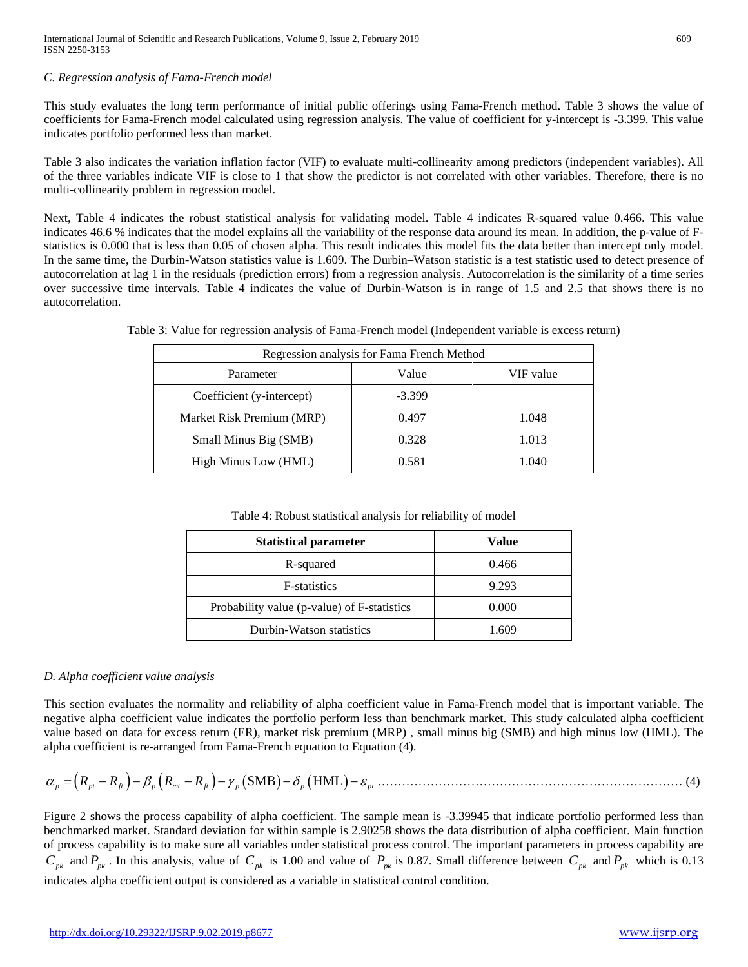#### *C. Regression analysis of Fama-French model*

This study evaluates the long term performance of initial public offerings using Fama-French method. Table 3 shows the value of coefficients for Fama-French model calculated using regression analysis. The value of coefficient for y-intercept is -3.399. This value indicates portfolio performed less than market.

Table 3 also indicates the variation inflation factor (VIF) to evaluate multi-collinearity among predictors (independent variables). All of the three variables indicate VIF is close to 1 that show the predictor is not correlated with other variables. Therefore, there is no multi-collinearity problem in regression model.

Next, Table 4 indicates the robust statistical analysis for validating model. Table 4 indicates R-squared value 0.466. This value indicates 46.6 % indicates that the model explains all the variability of the response data around its mean. In addition, the p-value of Fstatistics is 0.000 that is less than 0.05 of chosen alpha. This result indicates this model fits the data better than intercept only model. In the same time, the Durbin-Watson statistics value is 1.609. The Durbin–Watson statistic is a test statistic used to detect presence of autocorrelation at lag 1 in the residuals (prediction errors) from a regression analysis. Autocorrelation is the similarity of a time series over successive time intervals. Table 4 indicates the value of Durbin-Watson is in range of 1.5 and 2.5 that shows there is no autocorrelation.

| Regression analysis for Fama French Method |          |           |  |  |
|--------------------------------------------|----------|-----------|--|--|
| Parameter                                  | Value    | VIF value |  |  |
| Coefficient (y-intercept)                  | $-3.399$ |           |  |  |
| Market Risk Premium (MRP)                  | 0.497    | 1.048     |  |  |
| Small Minus Big (SMB)                      | 0.328    | 1.013     |  |  |
| High Minus Low (HML)                       | 0.581    | 1.040     |  |  |

Table 3: Value for regression analysis of Fama-French model (Independent variable is excess return)

Table 4: Robust statistical analysis for reliability of model

| <b>Statistical parameter</b>                | Value |
|---------------------------------------------|-------|
| R-squared                                   | 0.466 |
| <b>F</b> -statistics                        | 9.293 |
| Probability value (p-value) of F-statistics | 0.000 |
| Durbin-Watson statistics                    | 1.609 |

## *D. Alpha coefficient value analysis*

This section evaluates the normality and reliability of alpha coefficient value in Fama-French model that is important variable. The negative alpha coefficient value indicates the portfolio perform less than benchmark market. This study calculated alpha coefficient value based on data for excess return (ER), market risk premium (MRP) , small minus big (SMB) and high minus low (HML). The alpha coefficient is re-arranged from Fama-French equation to Equation (4).

<sup>α</sup> β γδ <sup>ε</sup> *p pt ft p mt ft p* = −− −− − − (*RR RR* ) ( ) (SMB HML ) *<sup>p</sup>* ( ) *pt* ………………………………………………………………… (4)

Figure 2 shows the process capability of alpha coefficient. The sample mean is -3.39945 that indicate portfolio performed less than benchmarked market. Standard deviation for within sample is 2.90258 shows the data distribution of alpha coefficient. Main function of process capability is to make sure all variables under statistical process control. The important parameters in process capability are  $C_{pk}$  and  $P_{pk}$ . In this analysis, value of  $C_{pk}$  is 1.00 and value of  $P_{pk}$  is 0.87. Small difference between  $C_{pk}$  and  $P_{pk}$  which is 0.13 indicates alpha coefficient output is considered as a variable in statistical control condition.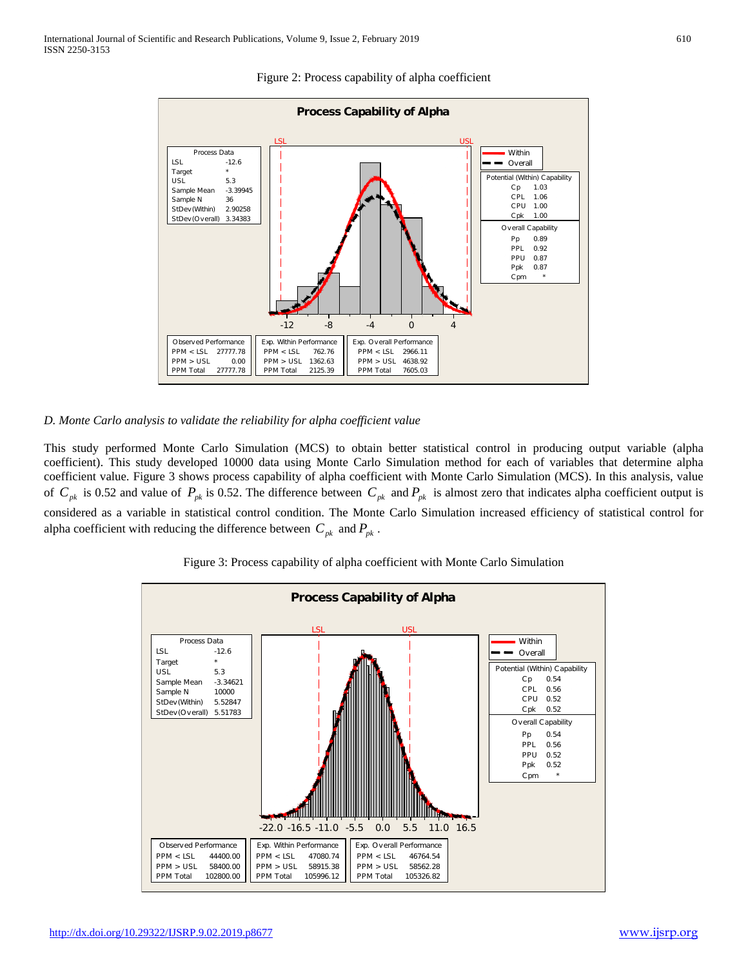

Figure 2: Process capability of alpha coefficient

#### *D. Monte Carlo analysis to validate the reliability for alpha coefficient value*

This study performed Monte Carlo Simulation (MCS) to obtain better statistical control in producing output variable (alpha coefficient). This study developed 10000 data using Monte Carlo Simulation method for each of variables that determine alpha coefficient value. Figure 3 shows process capability of alpha coefficient with Monte Carlo Simulation (MCS). In this analysis, value of  $C_{pk}$  is 0.52 and value of  $P_{pk}$  is 0.52. The difference between  $C_{pk}$  and  $P_{pk}$  is almost zero that indicates alpha coefficient output is considered as a variable in statistical control condition. The Monte Carlo Simulation increased efficiency of statistical control for alpha coefficient with reducing the difference between  $C_{pk}$  and  $P_{pk}$ .

Figure 3: Process capability of alpha coefficient with Monte Carlo Simulation

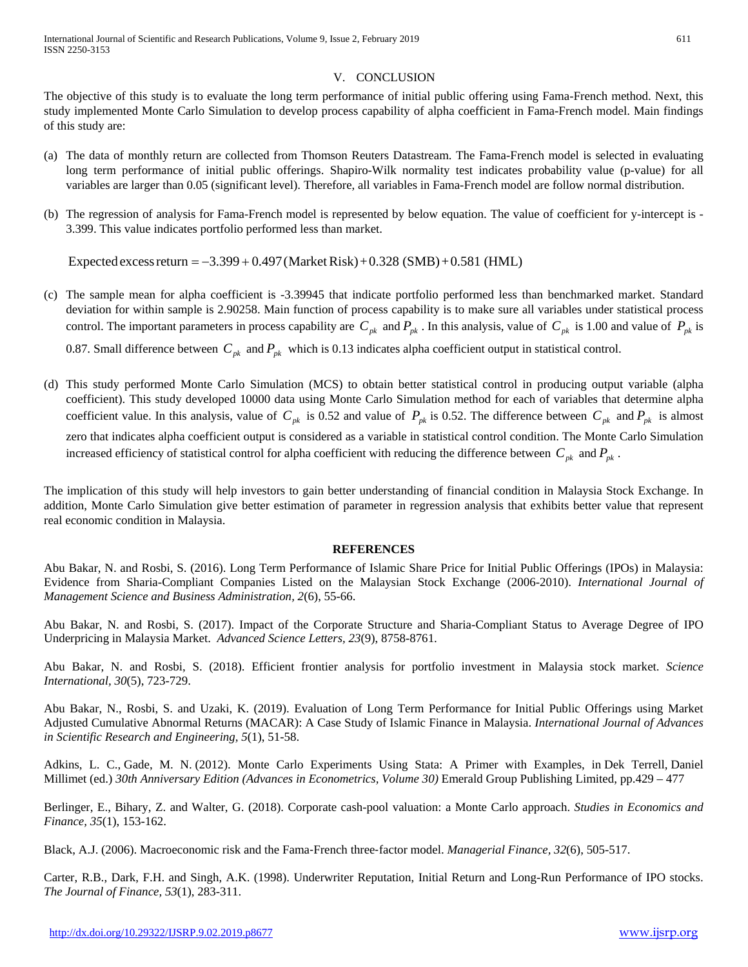## V. CONCLUSION

The objective of this study is to evaluate the long term performance of initial public offering using Fama-French method. Next, this study implemented Monte Carlo Simulation to develop process capability of alpha coefficient in Fama-French model. Main findings of this study are:

- (a) The data of monthly return are collected from Thomson Reuters Datastream. The Fama-French model is selected in evaluating long term performance of initial public offerings. Shapiro-Wilk normality test indicates probability value (p-value) for all variables are larger than 0.05 (significant level). Therefore, all variables in Fama-French model are follow normal distribution.
- (b) The regression of analysis for Fama-French model is represented by below equation. The value of coefficient for y-intercept is 3.399. This value indicates portfolio performed less than market.

Expected excess return =  $-3.399 + 0.497$  (Market Risk) + 0.328 (SMB) + 0.581 (HML)

- (c) The sample mean for alpha coefficient is -3.39945 that indicate portfolio performed less than benchmarked market. Standard deviation for within sample is 2.90258. Main function of process capability is to make sure all variables under statistical process control. The important parameters in process capability are  $C_{pk}$  and  $P_{pk}$ . In this analysis, value of  $C_{pk}$  is 1.00 and value of  $P_{pk}$  is 0.87. Small difference between  $C_{pk}$  and  $P_{pk}$  which is 0.13 indicates alpha coefficient output in statistical control.
- (d) This study performed Monte Carlo Simulation (MCS) to obtain better statistical control in producing output variable (alpha coefficient). This study developed 10000 data using Monte Carlo Simulation method for each of variables that determine alpha coefficient value. In this analysis, value of  $C_{pk}$  is 0.52 and value of  $P_{pk}$  is 0.52. The difference between  $C_{pk}$  and  $P_{pk}$  is almost zero that indicates alpha coefficient output is considered as a variable in statistical control condition. The Monte Carlo Simulation increased efficiency of statistical control for alpha coefficient with reducing the difference between  $C_{pk}$  and  $P_{pk}$ .

The implication of this study will help investors to gain better understanding of financial condition in Malaysia Stock Exchange. In addition, Monte Carlo Simulation give better estimation of parameter in regression analysis that exhibits better value that represent real economic condition in Malaysia.

## **REFERENCES**

Abu Bakar, N. and Rosbi, S. (2016). Long Term Performance of Islamic Share Price for Initial Public Offerings (IPOs) in Malaysia: Evidence from Sharia-Compliant Companies Listed on the Malaysian Stock Exchange (2006-2010). *International Journal of Management Science and Business Administration, 2*(6), 55-66.

Abu Bakar, N. and Rosbi, S. (2017). Impact of the Corporate Structure and Sharia-Compliant Status to Average Degree of IPO Underpricing in Malaysia Market. *Advanced Science Letters, 23*(9), 8758-8761.

Abu Bakar, N. and Rosbi, S. (2018). Efficient frontier analysis for portfolio investment in Malaysia stock market. *Science International, 30*(5), 723-729.

Abu Bakar, N., Rosbi, S. and Uzaki, K. (2019). Evaluation of Long Term Performance for Initial Public Offerings using Market Adjusted Cumulative Abnormal Returns (MACAR): A Case Study of Islamic Finance in Malaysia. *International Journal of Advances in Scientific Research and Engineering, 5*(1), 51-58.

Adkins, L. C., Gade, M. N. (2012). Monte Carlo Experiments Using Stata: A Primer with Examples, in Dek Terrell, Daniel Millimet (ed.) *30th Anniversary Edition (Advances in Econometrics, Volume 30)* Emerald Group Publishing Limited, pp.429 – 477

Berlinger, E., Bihary, Z. and Walter, G. (2018). Corporate cash-pool valuation: a Monte Carlo approach. *Studies in Economics and Finance, 35*(1), 153-162.

Black, A.J. (2006). Macroeconomic risk and the Fama‐French three‐factor model. *Managerial Finance, 32*(6), 505-517.

Carter, R.B., Dark, F.H. and Singh, A.K. (1998). Underwriter Reputation, Initial Return and Long-Run Performance of IPO stocks. *The Journal of Finance, 53*(1), 283-311.